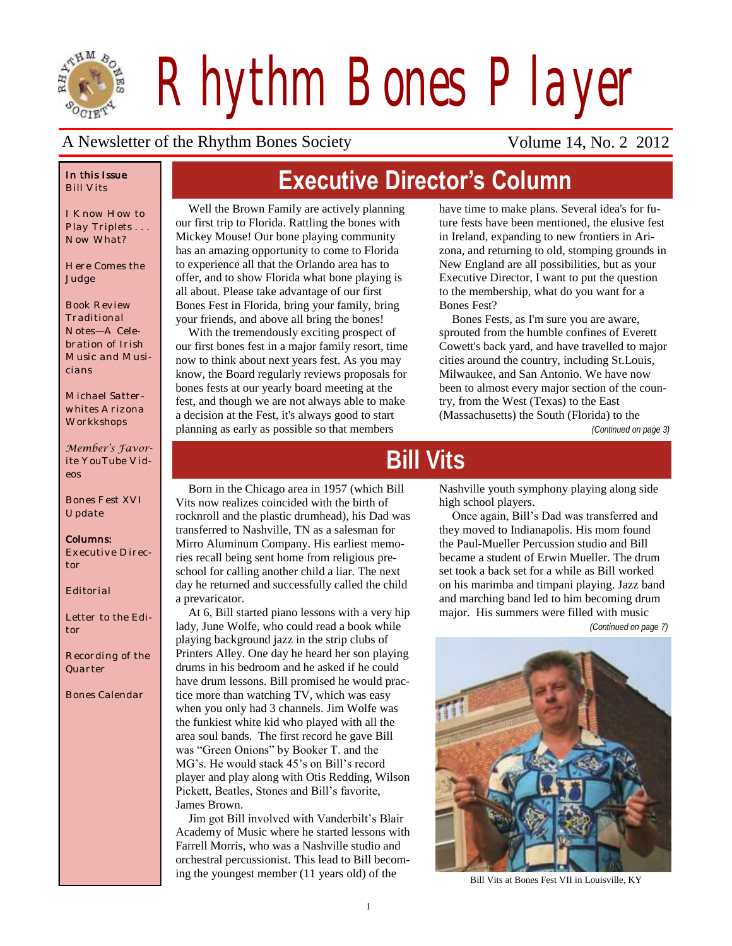

*Rhythm Bones Player*

**Executive Director's Column**

#### A Newsletter of the Rhythm Bones Society Volume 14, No. 2 2012

#### *In this Issue Bill Vits*

*I Know How to Play Triplets . . . Now What?*

*Here Comes the Judge*

*Book Review Traditional Notes—A Celebration of Irish Music and Musicians* 

*Michael Satterwhites Arizona Workkshops*

*Member's Favorite YouTube Videos*

*Bones Fest XVI Update*

#### *Columns:*

*Executive Director*

*Editorial*

*Letter to the Editor*

*Recording of the Quarter*

*Bones Calendar*

Well the Brown Family are actively planning our first trip to Florida. Rattling the bones with Mickey Mouse! Our bone playing community has an amazing opportunity to come to Florida to experience all that the Orlando area has to offer, and to show Florida what bone playing is all about. Please take advantage of our first Bones Fest in Florida, bring your family, bring your friends, and above all bring the bones!

With the tremendously exciting prospect of our first bones fest in a major family resort, time now to think about next years fest. As you may know, the Board regularly reviews proposals for bones fests at our yearly board meeting at the fest, and though we are not always able to make a decision at the Fest, it's always good to start planning as early as possible so that members

have time to make plans. Several idea's for future fests have been mentioned, the elusive fest in Ireland, expanding to new frontiers in Arizona, and returning to old, stomping grounds in New England are all possibilities, but as your Executive Director, I want to put the question to the membership, what do you want for a Bones Fest?

Bones Fests, as I'm sure you are aware, sprouted from the humble confines of Everett Cowett's back yard, and have travelled to major cities around the country, including St.Louis, Milwaukee, and San Antonio. We have now been to almost every major section of the country, from the West (Texas) to the East (Massachusetts) the South (Florida) to the

*(Continued on page 3)*

# **Bill Vits**

Born in the Chicago area in 1957 (which Bill Vits now realizes coincided with the birth of rocknroll and the plastic drumhead), his Dad was transferred to Nashville, TN as a salesman for Mirro Aluminum Company. His earliest memories recall being sent home from religious preschool for calling another child a liar. The next day he returned and successfully called the child a prevaricator.

At 6, Bill started piano lessons with a very hip lady, June Wolfe, who could read a book while playing background jazz in the strip clubs of Printers Alley. One day he heard her son playing drums in his bedroom and he asked if he could have drum lessons. Bill promised he would practice more than watching TV, which was easy when you only had 3 channels. Jim Wolfe was the funkiest white kid who played with all the area soul bands. The first record he gave Bill was "Green Onions" by Booker T. and the MG's. He would stack 45's on Bill's record player and play along with Otis Redding, Wilson Pickett, Beatles, Stones and Bill's favorite, James Brown.

Jim got Bill involved with Vanderbilt's Blair Academy of Music where he started lessons with Farrell Morris, who was a Nashville studio and orchestral percussionist. This lead to Bill becoming the youngest member (11 years old) of the Bill Vits at Bones Fest VII in Louisville, KY

Nashville youth symphony playing along side high school players.

Once again, Bill's Dad was transferred and they moved to Indianapolis. His mom found the Paul-Mueller Percussion studio and Bill became a student of Erwin Mueller. The drum set took a back set for a while as Bill worked on his marimba and timpani playing. Jazz band and marching band led to him becoming drum major. His summers were filled with music

*(Continued on page 7)*

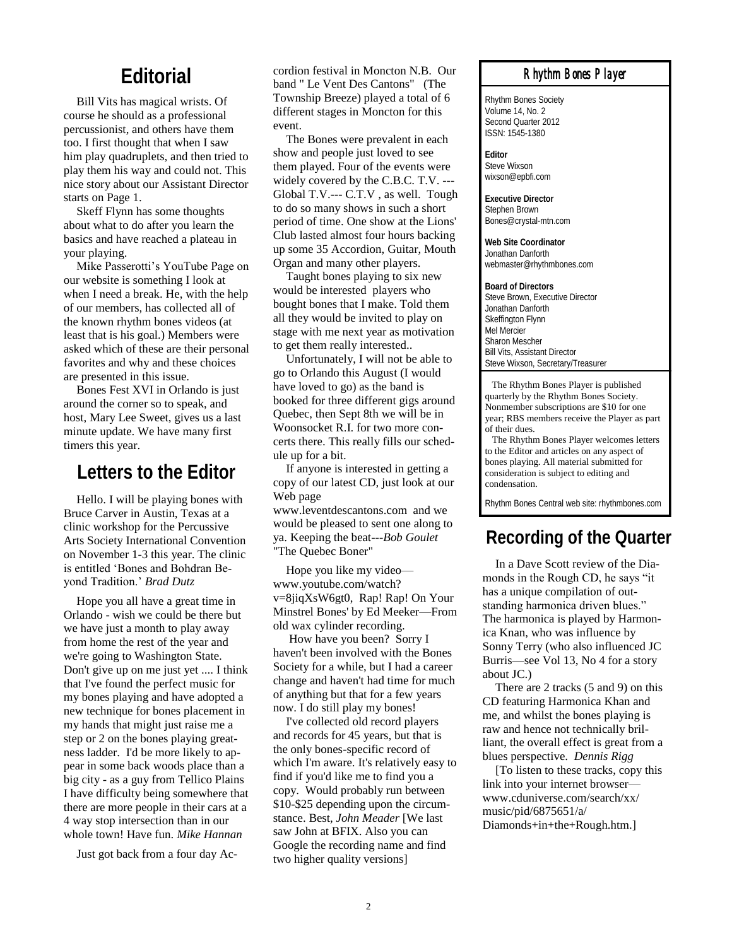#### **Editorial**

Bill Vits has magical wrists. Of course he should as a professional percussionist, and others have them too. I first thought that when I saw him play quadruplets, and then tried to play them his way and could not. This nice story about our Assistant Director starts on Page 1.

Skeff Flynn has some thoughts about what to do after you learn the basics and have reached a plateau in your playing.

Mike Passerotti's YouTube Page on our website is something I look at when I need a break. He, with the help of our members, has collected all of the known rhythm bones videos (at least that is his goal.) Members were asked which of these are their personal favorites and why and these choices are presented in this issue.

Bones Fest XVI in Orlando is just around the corner so to speak, and host, Mary Lee Sweet, gives us a last minute update. We have many first timers this year.

### **Letters to the Editor**

Hello. I will be playing bones with Bruce Carver in Austin, Texas at a clinic workshop for the Percussive Arts Society International Convention on November 1-3 this year. The clinic is entitled 'Bones and Bohdran Beyond Tradition.' *Brad Dutz*

Hope you all have a great time in Orlando - wish we could be there but we have just a month to play away from home the rest of the year and we're going to Washington State. Don't give up on me just yet .... I think that I've found the perfect music for my bones playing and have adopted a new technique for bones placement in my hands that might just raise me a step or 2 on the bones playing greatness ladder. I'd be more likely to appear in some back woods place than a big city - as a guy from Tellico Plains I have difficulty being somewhere that there are more people in their cars at a 4 way stop intersection than in our whole town! Have fun. *Mike Hannan*

Just got back from a four day Ac-

cordion festival in Moncton N.B. Our band " Le Vent Des Cantons" (The Township Breeze) played a total of 6 different stages in Moncton for this event.

The Bones were prevalent in each show and people just loved to see them played. Four of the events were widely covered by the C.B.C. T.V. --- Global T.V.--- C.T.V , as well. Tough to do so many shows in such a short period of time. One show at the Lions' Club lasted almost four hours backing up some 35 Accordion, Guitar, Mouth Organ and many other players.

Taught bones playing to six new would be interested players who bought bones that I make. Told them all they would be invited to play on stage with me next year as motivation to get them really interested..

Unfortunately, I will not be able to go to Orlando this August (I would have loved to go) as the band is booked for three different gigs around Quebec, then Sept 8th we will be in Woonsocket R.I. for two more concerts there. This really fills our schedule up for a bit.

If anyone is interested in getting a copy of our latest CD, just look at our Web page

www.leventdescantons.com and we would be pleased to sent one along to ya. Keeping the beat---*Bob Goulet* "The Quebec Boner"

Hope you like my video www.youtube.com/watch? v=8jiqXsW6gt0, Rap! Rap! On Your Minstrel Bones' by Ed Meeker—From old wax cylinder recording.

How have you been? Sorry I haven't been involved with the Bones Society for a while, but I had a career change and haven't had time for much of anything but that for a few years now. I do still play my bones!

I've collected old record players and records for 45 years, but that is the only bones-specific record of which I'm aware. It's relatively easy to find if you'd like me to find you a copy. Would probably run between \$10-\$25 depending upon the circumstance. Best, *John Meader* [We last saw John at BFIX. Also you can Google the recording name and find two higher quality versions]

#### *Rhythm Bones Player*

Rhythm Bones Society Volume 14, No. 2 Second Quarter 2012 ISSN: 1545-1380

**Editor** Steve Wixson wixson@epbfi.com

**Executive Director** Stephen Brown Bones@crystal-mtn.com

**Web Site Coordinator** Jonathan Danforth webmaster@rhythmbones.com

**Board of Directors** Steve Brown, Executive Director Jonathan Danforth Skeffington Flynn Mel Mercier Sharon Mescher Bill Vits, Assistant Director Steve Wixson, Secretary/Treasurer

 The Rhythm Bones Player is published quarterly by the Rhythm Bones Society. Nonmember subscriptions are \$10 for one year; RBS members receive the Player as part of their dues.

 The Rhythm Bones Player welcomes letters to the Editor and articles on any aspect of bones playing. All material submitted for consideration is subject to editing and condensation.

Rhythm Bones Central web site: rhythmbones.com

### **Recording of the Quarter**

In a Dave Scott review of the Diamonds in the Rough CD, he says "it has a unique compilation of outstanding harmonica driven blues." The harmonica is played by Harmonica Knan, who was influence by Sonny Terry (who also influenced JC Burris—see Vol 13, No 4 for a story about JC.)

There are 2 tracks (5 and 9) on this CD featuring Harmonica Khan and me, and whilst the bones playing is raw and hence not technically brilliant, the overall effect is great from a blues perspective. *Dennis Rigg*

[To listen to these tracks, copy this link into your internet browser www.cduniverse.com/search/xx/ music/pid/6875651/a/ Diamonds+in+the+Rough.htm.]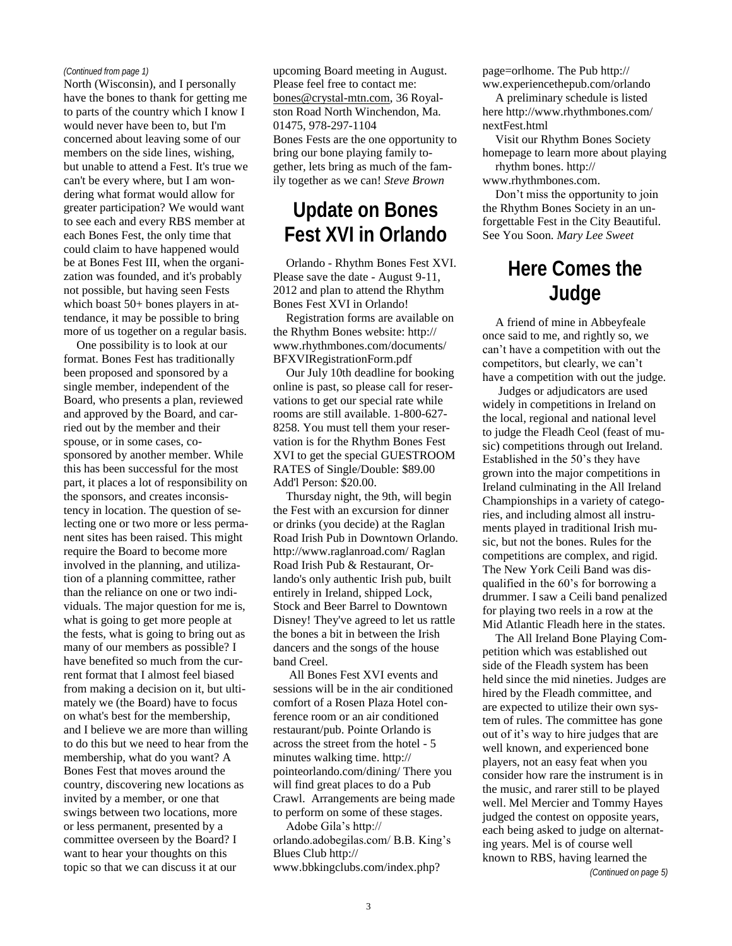#### *(Continued from page 1)*

North (Wisconsin), and I personally have the bones to thank for getting me to parts of the country which I know I would never have been to, but I'm concerned about leaving some of our members on the side lines, wishing, but unable to attend a Fest. It's true we can't be every where, but I am wondering what format would allow for greater participation? We would want to see each and every RBS member at each Bones Fest, the only time that could claim to have happened would be at Bones Fest III, when the organization was founded, and it's probably not possible, but having seen Fests which boast 50+ bones players in attendance, it may be possible to bring more of us together on a regular basis.

One possibility is to look at our format. Bones Fest has traditionally been proposed and sponsored by a single member, independent of the Board, who presents a plan, reviewed and approved by the Board, and carried out by the member and their spouse, or in some cases, cosponsored by another member. While this has been successful for the most part, it places a lot of responsibility on the sponsors, and creates inconsistency in location. The question of selecting one or two more or less permanent sites has been raised. This might require the Board to become more involved in the planning, and utilization of a planning committee, rather than the reliance on one or two individuals. The major question for me is, what is going to get more people at the fests, what is going to bring out as many of our members as possible? I have benefited so much from the current format that I almost feel biased from making a decision on it, but ultimately we (the Board) have to focus on what's best for the membership, and I believe we are more than willing to do this but we need to hear from the membership, what do you want? A Bones Fest that moves around the country, discovering new locations as invited by a member, or one that swings between two locations, more or less permanent, presented by a committee overseen by the Board? I want to hear your thoughts on this topic so that we can discuss it at our

upcoming Board meeting in August. Please feel free to contact me: [bones@crystal-mtn.com,](mailto:bones@crystal-mtn.com) 36 Royalston Road North Winchendon, Ma. 01475, 978-297-1104 Bones Fests are the one opportunity to bring our bone playing family together, lets bring as much of the family together as we can! *Steve Brown*

### **Update on Bones Fest XVI in Orlando**

Orlando - Rhythm Bones Fest XVI. Please save the date - August 9-11, 2012 and plan to attend the Rhythm Bones Fest XVI in Orlando!

Registration forms are available on the Rhythm Bones website: http:// www.rhythmbones.com/documents/ BFXVIRegistrationForm.pdf

Our July 10th deadline for booking online is past, so please call for reservations to get our special rate while rooms are still available. 1-800-627- 8258. You must tell them your reservation is for the Rhythm Bones Fest XVI to get the special GUESTROOM RATES of Single/Double: \$89.00 Add'l Person: \$20.00.

Thursday night, the 9th, will begin the Fest with an excursion for dinner or drinks (you decide) at the Raglan Road Irish Pub in Downtown Orlando. http://www.raglanroad.com/ Raglan Road Irish Pub & Restaurant, Orlando's only authentic Irish pub, built entirely in Ireland, shipped Lock, Stock and Beer Barrel to Downtown Disney! They've agreed to let us rattle the bones a bit in between the Irish dancers and the songs of the house band Creel.

All Bones Fest XVI events and sessions will be in the air conditioned comfort of a Rosen Plaza Hotel conference room or an air conditioned restaurant/pub. Pointe Orlando is across the street from the hotel - 5 minutes walking time. http:// pointeorlando.com/dining/ There you will find great places to do a Pub Crawl. Arrangements are being made to perform on some of these stages. Adobe Gila's http://

orlando.adobegilas.com/ B.B. King's Blues Club http://

www.bbkingclubs.com/index.php?

page=orlhome. The Pub http:// ww.experiencethepub.com/orlando

A preliminary schedule is listed here http://www.rhythmbones.com/ nextFest.html

Visit our Rhythm Bones Society homepage to learn more about playing rhythm bones. http://

www.rhythmbones.com.

Don't miss the opportunity to join the Rhythm Bones Society in an unforgettable Fest in the City Beautiful. See You Soon. *Mary Lee Sweet*

# **Here Comes the Judge**

A friend of mine in Abbeyfeale once said to me, and rightly so, we can't have a competition with out the competitors, but clearly, we can't have a competition with out the judge.

Judges or adjudicators are used widely in competitions in Ireland on the local, regional and national level to judge the Fleadh Ceol (feast of music) competitions through out Ireland. Established in the 50's they have grown into the major competitions in Ireland culminating in the All Ireland Championships in a variety of categories, and including almost all instruments played in traditional Irish music, but not the bones. Rules for the competitions are complex, and rigid. The New York Ceili Band was disqualified in the 60's for borrowing a drummer. I saw a Ceili band penalized for playing two reels in a row at the Mid Atlantic Fleadh here in the states.

The All Ireland Bone Playing Competition which was established out side of the Fleadh system has been held since the mid nineties. Judges are hired by the Fleadh committee, and are expected to utilize their own system of rules. The committee has gone out of it's way to hire judges that are well known, and experienced bone players, not an easy feat when you consider how rare the instrument is in the music, and rarer still to be played well. Mel Mercier and Tommy Hayes judged the contest on opposite years. each being asked to judge on alternating years. Mel is of course well known to RBS, having learned the *(Continued on page 5)*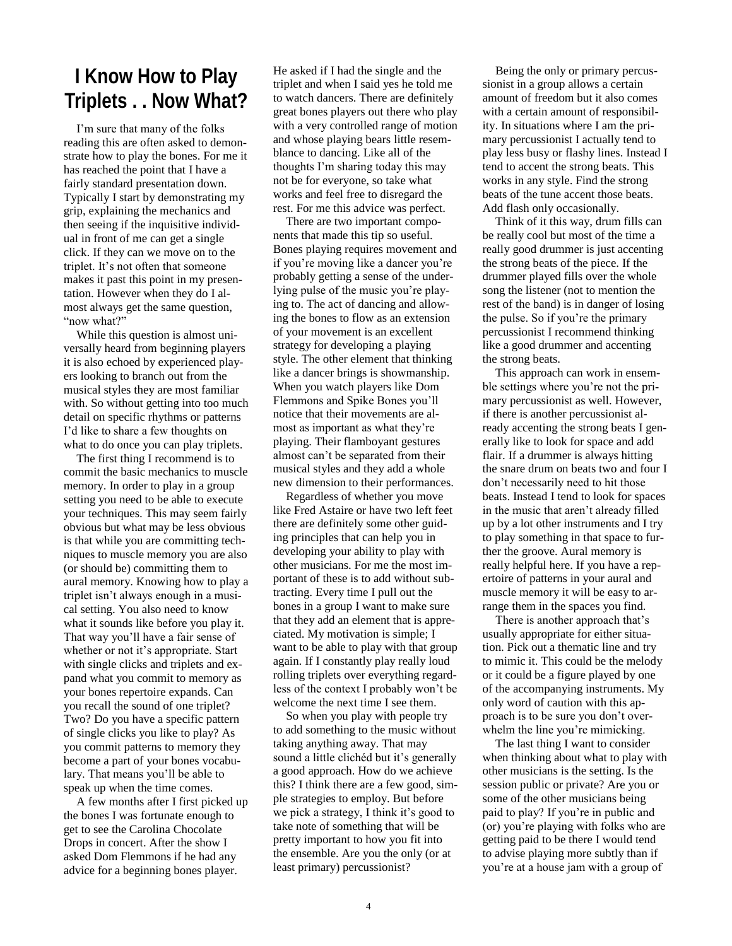### **I Know How to Play Triplets . . Now What?**

I'm sure that many of the folks reading this are often asked to demonstrate how to play the bones. For me it has reached the point that I have a fairly standard presentation down. Typically I start by demonstrating my grip, explaining the mechanics and then seeing if the inquisitive individual in front of me can get a single click. If they can we move on to the triplet. It's not often that someone makes it past this point in my presentation. However when they do I almost always get the same question, "now what?"

While this question is almost universally heard from beginning players it is also echoed by experienced players looking to branch out from the musical styles they are most familiar with. So without getting into too much detail on specific rhythms or patterns I'd like to share a few thoughts on what to do once you can play triplets.

The first thing I recommend is to commit the basic mechanics to muscle memory. In order to play in a group setting you need to be able to execute your techniques. This may seem fairly obvious but what may be less obvious is that while you are committing techniques to muscle memory you are also (or should be) committing them to aural memory. Knowing how to play a triplet isn't always enough in a musical setting. You also need to know what it sounds like before you play it. That way you'll have a fair sense of whether or not it's appropriate. Start with single clicks and triplets and expand what you commit to memory as your bones repertoire expands. Can you recall the sound of one triplet? Two? Do you have a specific pattern of single clicks you like to play? As you commit patterns to memory they become a part of your bones vocabulary. That means you'll be able to speak up when the time comes.

A few months after I first picked up the bones I was fortunate enough to get to see the Carolina Chocolate Drops in concert. After the show I asked Dom Flemmons if he had any advice for a beginning bones player.

He asked if I had the single and the triplet and when I said yes he told me to watch dancers. There are definitely great bones players out there who play with a very controlled range of motion and whose playing bears little resemblance to dancing. Like all of the thoughts I'm sharing today this may not be for everyone, so take what works and feel free to disregard the rest. For me this advice was perfect.

There are two important components that made this tip so useful. Bones playing requires movement and if you're moving like a dancer you're probably getting a sense of the underlying pulse of the music you're playing to. The act of dancing and allowing the bones to flow as an extension of your movement is an excellent strategy for developing a playing style. The other element that thinking like a dancer brings is showmanship. When you watch players like Dom Flemmons and Spike Bones you'll notice that their movements are almost as important as what they're playing. Their flamboyant gestures almost can't be separated from their musical styles and they add a whole new dimension to their performances.

Regardless of whether you move like Fred Astaire or have two left feet there are definitely some other guiding principles that can help you in developing your ability to play with other musicians. For me the most important of these is to add without subtracting. Every time I pull out the bones in a group I want to make sure that they add an element that is appreciated. My motivation is simple; I want to be able to play with that group again. If I constantly play really loud rolling triplets over everything regardless of the context I probably won't be welcome the next time I see them.

So when you play with people try to add something to the music without taking anything away. That may sound a little clichéd but it's generally a good approach. How do we achieve this? I think there are a few good, simple strategies to employ. But before we pick a strategy, I think it's good to take note of something that will be pretty important to how you fit into the ensemble. Are you the only (or at least primary) percussionist?

Being the only or primary percussionist in a group allows a certain amount of freedom but it also comes with a certain amount of responsibility. In situations where I am the primary percussionist I actually tend to play less busy or flashy lines. Instead I tend to accent the strong beats. This works in any style. Find the strong beats of the tune accent those beats. Add flash only occasionally.

Think of it this way, drum fills can be really cool but most of the time a really good drummer is just accenting the strong beats of the piece. If the drummer played fills over the whole song the listener (not to mention the rest of the band) is in danger of losing the pulse. So if you're the primary percussionist I recommend thinking like a good drummer and accenting the strong beats.

This approach can work in ensemble settings where you're not the primary percussionist as well. However, if there is another percussionist already accenting the strong beats I generally like to look for space and add flair. If a drummer is always hitting the snare drum on beats two and four I don't necessarily need to hit those beats. Instead I tend to look for spaces in the music that aren't already filled up by a lot other instruments and I try to play something in that space to further the groove. Aural memory is really helpful here. If you have a repertoire of patterns in your aural and muscle memory it will be easy to arrange them in the spaces you find.

There is another approach that's usually appropriate for either situation. Pick out a thematic line and try to mimic it. This could be the melody or it could be a figure played by one of the accompanying instruments. My only word of caution with this approach is to be sure you don't overwhelm the line you're mimicking.

The last thing I want to consider when thinking about what to play with other musicians is the setting. Is the session public or private? Are you or some of the other musicians being paid to play? If you're in public and (or) you're playing with folks who are getting paid to be there I would tend to advise playing more subtly than if you're at a house jam with a group of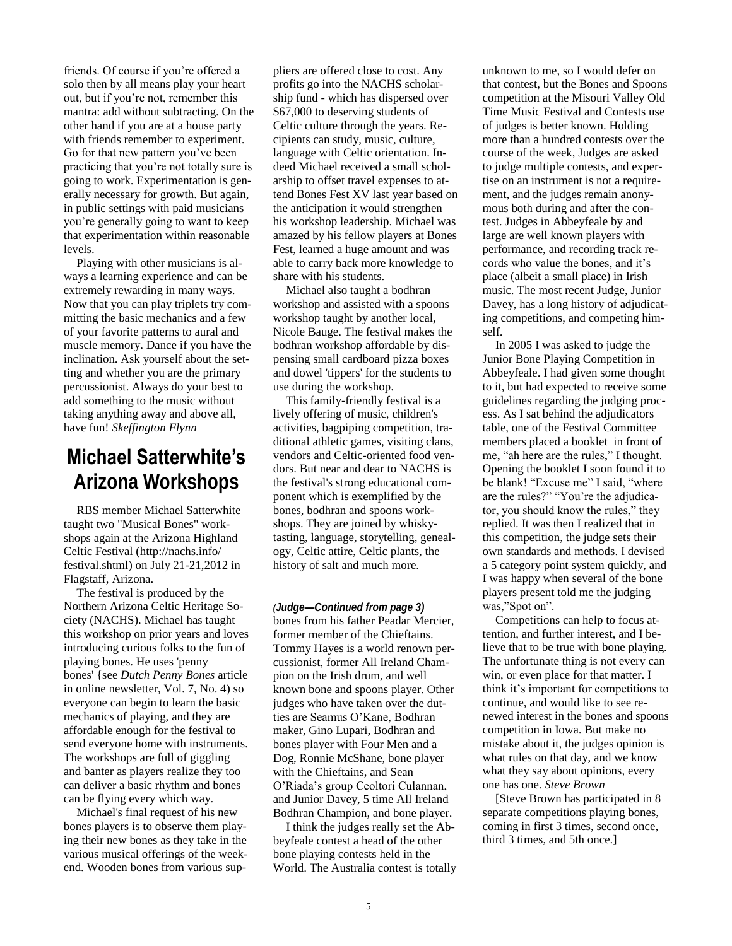friends. Of course if you're offered a solo then by all means play your heart out, but if you're not, remember this mantra: add without subtracting. On the other hand if you are at a house party with friends remember to experiment. Go for that new pattern you've been practicing that you're not totally sure is going to work. Experimentation is generally necessary for growth. But again, in public settings with paid musicians you're generally going to want to keep that experimentation within reasonable levels.

Playing with other musicians is always a learning experience and can be extremely rewarding in many ways. Now that you can play triplets try committing the basic mechanics and a few of your favorite patterns to aural and muscle memory. Dance if you have the inclination. Ask yourself about the setting and whether you are the primary percussionist. Always do your best to add something to the music without taking anything away and above all, have fun! *Skeffington Flynn*

### **Michael Satterwhite's Arizona Workshops**

RBS member Michael Satterwhite taught two "Musical Bones" workshops again at the Arizona Highland Celtic Festival [\(http://nachs.info/](http://nachs.info/festival.shtml) [festival.shtml\)](http://nachs.info/festival.shtml) on July 21-21,2012 in Flagstaff, Arizona.

The festival is produced by the Northern Arizona Celtic Heritage Society (NACHS). Michael has taught this workshop on prior years and loves introducing curious folks to the fun of playing bones. He uses 'penny bones' {see *Dutch Penny Bones* article in online newsletter, Vol. 7, No. 4) so everyone can begin to learn the basic mechanics of playing, and they are affordable enough for the festival to send everyone home with instruments. The workshops are full of giggling and banter as players realize they too can deliver a basic rhythm and bones can be flying every which way.

Michael's final request of his new bones players is to observe them playing their new bones as they take in the various musical offerings of the weekend. Wooden bones from various suppliers are offered close to cost. Any profits go into the NACHS scholarship fund - which has dispersed over \$67,000 to deserving students of Celtic culture through the years. Recipients can study, music, culture, language with Celtic orientation. Indeed Michael received a small scholarship to offset travel expenses to attend Bones Fest XV last year based on the anticipation it would strengthen his workshop leadership. Michael was amazed by his fellow players at Bones Fest, learned a huge amount and was able to carry back more knowledge to share with his students.

Michael also taught a bodhran workshop and assisted with a spoons workshop taught by another local, Nicole Bauge. The festival makes the bodhran workshop affordable by dispensing small cardboard pizza boxes and dowel 'tippers' for the students to use during the workshop.

This family-friendly festival is a lively offering of music, children's activities, bagpiping competition, traditional athletic games, visiting clans, vendors and Celtic-oriented food vendors. But near and dear to NACHS is the festival's strong educational component which is exemplified by the bones, bodhran and spoons workshops. They are joined by whiskytasting, language, storytelling, genealogy, Celtic attire, Celtic plants, the history of salt and much more.

bones from his father Peadar Mercier, former member of the Chieftains. Tommy Hayes is a world renown percussionist, former All Ireland Champion on the Irish drum, and well known bone and spoons player. Other judges who have taken over the dutties are Seamus O'Kane, Bodhran maker, Gino Lupari, Bodhran and bones player with Four Men and a Dog, Ronnie McShane, bone player with the Chieftains, and Sean O'Riada's group Ceoltori Culannan, and Junior Davey, 5 time All Ireland Bodhran Champion, and bone player. *(Judge—Continued from page 3)*

I think the judges really set the Abbeyfeale contest a head of the other bone playing contests held in the World. The Australia contest is totally unknown to me, so I would defer on that contest, but the Bones and Spoons competition at the Misouri Valley Old Time Music Festival and Contests use of judges is better known. Holding more than a hundred contests over the course of the week, Judges are asked to judge multiple contests, and expertise on an instrument is not a requirement, and the judges remain anonymous both during and after the contest. Judges in Abbeyfeale by and large are well known players with performance, and recording track records who value the bones, and it's place (albeit a small place) in Irish music. The most recent Judge, Junior Davey, has a long history of adjudicating competitions, and competing himself.

In 2005 I was asked to judge the Junior Bone Playing Competition in Abbeyfeale. I had given some thought to it, but had expected to receive some guidelines regarding the judging process. As I sat behind the adjudicators table, one of the Festival Committee members placed a booklet in front of me, "ah here are the rules," I thought. Opening the booklet I soon found it to be blank! "Excuse me" I said, "where are the rules?" "You're the adjudicator, you should know the rules," they replied. It was then I realized that in this competition, the judge sets their own standards and methods. I devised a 5 category point system quickly, and I was happy when several of the bone players present told me the judging was,"Spot on".

Competitions can help to focus attention, and further interest, and I believe that to be true with bone playing. The unfortunate thing is not every can win, or even place for that matter. I think it's important for competitions to continue, and would like to see renewed interest in the bones and spoons competition in Iowa. But make no mistake about it, the judges opinion is what rules on that day, and we know what they say about opinions, every one has one. *Steve Brown*

[Steve Brown has participated in 8 separate competitions playing bones, coming in first 3 times, second once, third 3 times, and 5th once.]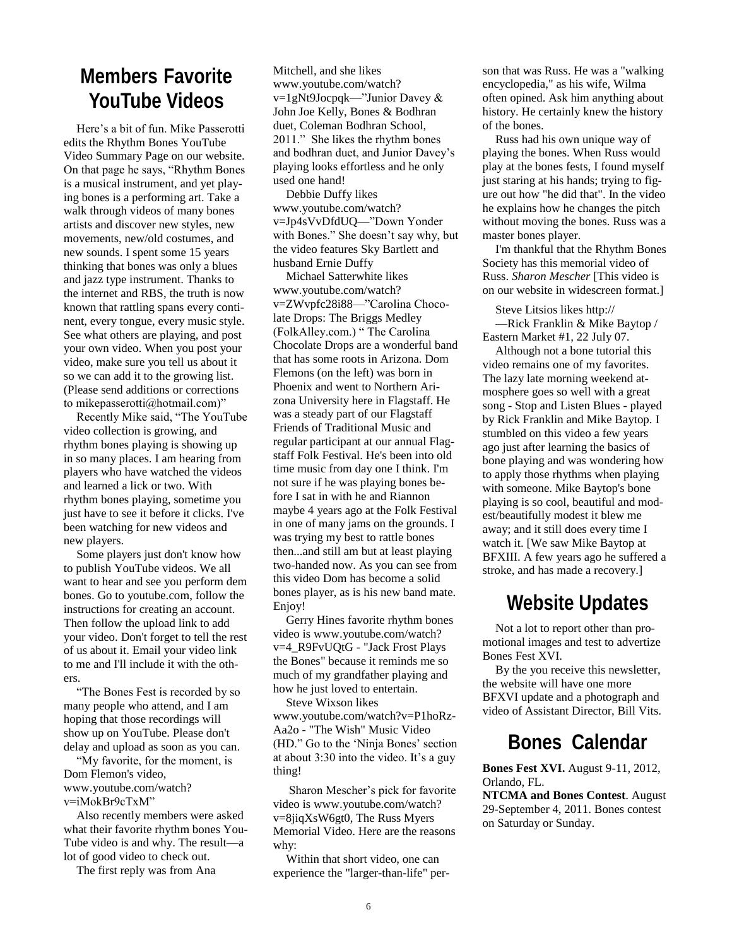# **Members Favorite YouTube Videos**

Here's a bit of fun. Mike Passerotti edits the Rhythm Bones YouTube Video Summary Page on our website. On that page he says, "Rhythm Bones is a musical instrument, and yet playing bones is a performing art. Take a walk through videos of many bones artists and discover new styles, new movements, new/old costumes, and new sounds. I spent some 15 years thinking that bones was only a blues and jazz type instrument. Thanks to the internet and RBS, the truth is now known that rattling spans every continent, every tongue, every music style. See what others are playing, and post your own video. When you post your video, make sure you tell us about it so we can add it to the growing list. (Please send additions or corrections to mikepasserotti@hotmail.com)"

Recently Mike said, "The YouTube video collection is growing, and rhythm bones playing is showing up in so many places. I am hearing from players who have watched the videos and learned a lick or two. With rhythm bones playing, sometime you just have to see it before it clicks. I've been watching for new videos and new players.

Some players just don't know how to publish YouTube videos. We all want to hear and see you perform dem bones. Go to youtube.com, follow the instructions for creating an account. Then follow the upload link to add your video. Don't forget to tell the rest of us about it. Email your video link to me and I'll include it with the others.

"The Bones Fest is recorded by so many people who attend, and I am hoping that those recordings will show up on YouTube. Please don't delay and upload as soon as you can.

"My favorite, for the moment, is Dom Flemon's video, www.youtube.com/watch? v=iMokBr9cTxM"

Also recently members were asked what their favorite rhythm bones You-Tube video is and why. The result—a lot of good video to check out.

The first reply was from Ana

Mitchell, and she likes www.youtube.com/watch? v=1gNt9Jocpqk—"Junior Davey & John Joe Kelly, Bones & Bodhran duet, Coleman Bodhran School, 2011." She likes the rhythm bones and bodhran duet, and Junior Davey's playing looks effortless and he only used one hand!

Debbie Duffy likes www.youtube.com/watch? v=Jp4sVvDfdUQ—"Down Yonder with Bones." She doesn't say why, but the video features Sky Bartlett and husband Ernie Duffy

Michael Satterwhite likes www.youtube.com/watch? v=ZWvpfc28i88—"Carolina Chocolate Drops: The Briggs Medley (FolkAlley.com.) " The Carolina Chocolate Drops are a wonderful band that has some roots in Arizona. Dom Flemons (on the left) was born in Phoenix and went to Northern Arizona University here in Flagstaff. He was a steady part of our Flagstaff Friends of Traditional Music and regular participant at our annual Flagstaff Folk Festival. He's been into old time music from day one I think. I'm not sure if he was playing bones before I sat in with he and Riannon maybe 4 years ago at the Folk Festival in one of many jams on the grounds. I was trying my best to rattle bones then...and still am but at least playing two-handed now. As you can see from this video Dom has become a solid bones player, as is his new band mate. Enjoy!

Gerry Hines favorite rhythm bones video is www.youtube.com/watch? v=4\_R9FvUQtG - "Jack Frost Plays the Bones" because it reminds me so much of my grandfather playing and how he just loved to entertain.

Steve Wixson likes www.youtube.com/watch?v=P1hoRz-Aa2o - "The Wish" Music Video (HD." Go to the 'Ninja Bones' section at about 3:30 into the video. It's a guy thing!

Sharon Mescher's pick for favorite video is www.youtube.com/watch? v=8jiqXsW6gt0, The Russ Myers Memorial Video. Here are the reasons why:

Within that short video, one can experience the "larger-than-life" person that was Russ. He was a "walking encyclopedia," as his wife, Wilma often opined. Ask him anything about history. He certainly knew the history of the bones.

Russ had his own unique way of playing the bones. When Russ would play at the bones fests, I found myself just staring at his hands; trying to figure out how "he did that". In the video he explains how he changes the pitch without moving the bones. Russ was a master bones player.

I'm thankful that the Rhythm Bones Society has this memorial video of Russ. *Sharon Mescher* [This video is on our website in widescreen format.]

Steve Litsios likes http://

—Rick Franklin & Mike Baytop / Eastern Market #1, 22 July 07.

Although not a bone tutorial this video remains one of my favorites. The lazy late morning weekend atmosphere goes so well with a great song - Stop and Listen Blues - played by Rick Franklin and Mike Baytop. I stumbled on this video a few years ago just after learning the basics of bone playing and was wondering how to apply those rhythms when playing with someone. Mike Baytop's bone playing is so cool, beautiful and modest/beautifully modest it blew me away; and it still does every time I watch it. [We saw Mike Baytop at BFXIII. A few years ago he suffered a stroke, and has made a recovery.]

## **Website Updates**

Not a lot to report other than promotional images and test to advertize Bones Fest XVI.

By the you receive this newsletter, the website will have one more BFXVI update and a photograph and video of Assistant Director, Bill Vits.

## **Bones Calendar**

**Bones Fest XVI.** August 9-11, 2012, Orlando, FL.

**NTCMA and Bones Contest**. August 29-September 4, 2011. Bones contest on Saturday or Sunday.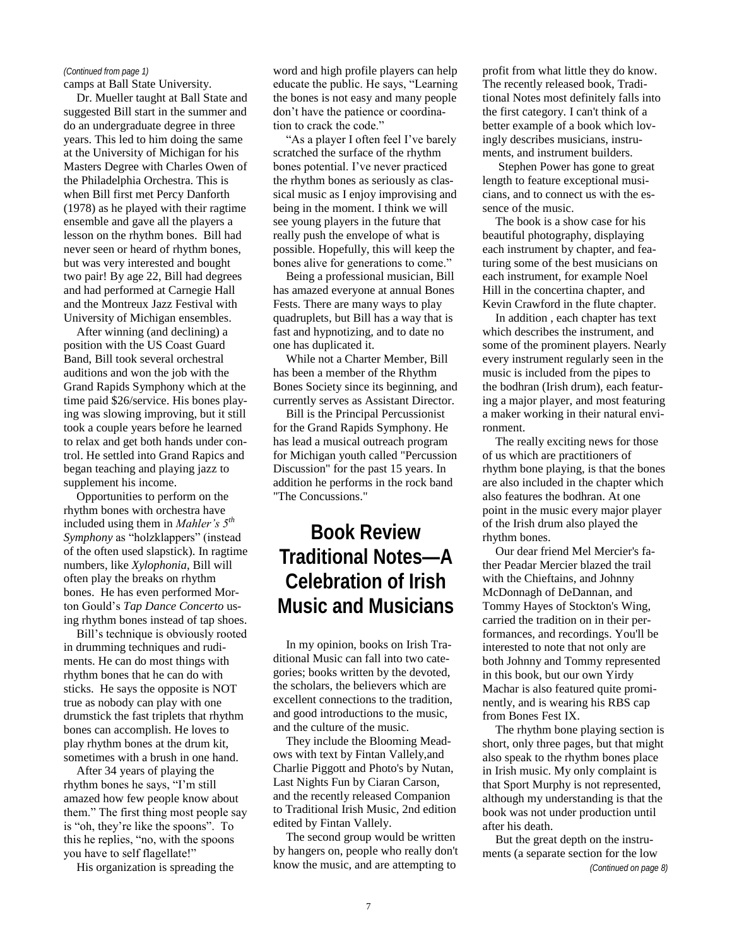#### *(Continued from page 1)*

camps at Ball State University.

Dr. Mueller taught at Ball State and suggested Bill start in the summer and do an undergraduate degree in three years. This led to him doing the same at the University of Michigan for his Masters Degree with Charles Owen of the Philadelphia Orchestra. This is when Bill first met Percy Danforth (1978) as he played with their ragtime ensemble and gave all the players a lesson on the rhythm bones. Bill had never seen or heard of rhythm bones, but was very interested and bought two pair! By age 22, Bill had degrees and had performed at Carnegie Hall and the Montreux Jazz Festival with University of Michigan ensembles.

After winning (and declining) a position with the US Coast Guard Band, Bill took several orchestral auditions and won the job with the Grand Rapids Symphony which at the time paid \$26/service. His bones playing was slowing improving, but it still took a couple years before he learned to relax and get both hands under control. He settled into Grand Rapics and began teaching and playing jazz to supplement his income.

Opportunities to perform on the rhythm bones with orchestra have included using them in *Mahler's 5th Symphony* as "holzklappers" (instead of the often used slapstick). In ragtime numbers, like *Xylophonia*, Bill will often play the breaks on rhythm bones. He has even performed Morton Gould's *Tap Dance Concerto* using rhythm bones instead of tap shoes.

Bill's technique is obviously rooted in drumming techniques and rudiments. He can do most things with rhythm bones that he can do with sticks. He says the opposite is NOT true as nobody can play with one drumstick the fast triplets that rhythm bones can accomplish. He loves to play rhythm bones at the drum kit, sometimes with a brush in one hand.

After 34 years of playing the rhythm bones he says, "I'm still amazed how few people know about them." The first thing most people say is "oh, they're like the spoons". To this he replies, "no, with the spoons you have to self flagellate!"

His organization is spreading the

word and high profile players can help educate the public. He says, "Learning the bones is not easy and many people don't have the patience or coordination to crack the code."

"As a player I often feel I've barely scratched the surface of the rhythm bones potential. I've never practiced the rhythm bones as seriously as classical music as I enjoy improvising and being in the moment. I think we will see young players in the future that really push the envelope of what is possible. Hopefully, this will keep the bones alive for generations to come."

Being a professional musician, Bill has amazed everyone at annual Bones Fests. There are many ways to play quadruplets, but Bill has a way that is fast and hypnotizing, and to date no one has duplicated it.

While not a Charter Member, Bill has been a member of the Rhythm Bones Society since its beginning, and currently serves as Assistant Director.

Bill is the Principal Percussionist for the Grand Rapids Symphony. He has lead a musical outreach program for Michigan youth called "Percussion Discussion" for the past 15 years. In addition he performs in the rock band "The Concussions."

# **Book Review Traditional Notes—A Celebration of Irish Music and Musicians**

In my opinion, books on Irish Traditional Music can fall into two categories; books written by the devoted, the scholars, the believers which are excellent connections to the tradition, and good introductions to the music, and the culture of the music.

They include the Blooming Meadows with text by Fintan Vallely,and Charlie Piggott and Photo's by Nutan, Last Nights Fun by Ciaran Carson, and the recently released Companion to Traditional Irish Music, 2nd edition edited by Fintan Vallely.

The second group would be written by hangers on, people who really don't know the music, and are attempting to

profit from what little they do know. The recently released book, Traditional Notes most definitely falls into the first category. I can't think of a better example of a book which lovingly describes musicians, instruments, and instrument builders.

Stephen Power has gone to great length to feature exceptional musicians, and to connect us with the essence of the music.

The book is a show case for his beautiful photography, displaying each instrument by chapter, and featuring some of the best musicians on each instrument, for example Noel Hill in the concertina chapter, and Kevin Crawford in the flute chapter.

In addition , each chapter has text which describes the instrument, and some of the prominent players. Nearly every instrument regularly seen in the music is included from the pipes to the bodhran (Irish drum), each featuring a major player, and most featuring a maker working in their natural environment.

The really exciting news for those of us which are practitioners of rhythm bone playing, is that the bones are also included in the chapter which also features the bodhran. At one point in the music every major player of the Irish drum also played the rhythm bones.

Our dear friend Mel Mercier's father Peadar Mercier blazed the trail with the Chieftains, and Johnny McDonnagh of DeDannan, and Tommy Hayes of Stockton's Wing, carried the tradition on in their performances, and recordings. You'll be interested to note that not only are both Johnny and Tommy represented in this book, but our own Yirdy Machar is also featured quite prominently, and is wearing his RBS cap from Bones Fest IX.

The rhythm bone playing section is short, only three pages, but that might also speak to the rhythm bones place in Irish music. My only complaint is that Sport Murphy is not represented, although my understanding is that the book was not under production until after his death.

But the great depth on the instruments (a separate section for the low

*(Continued on page 8)*